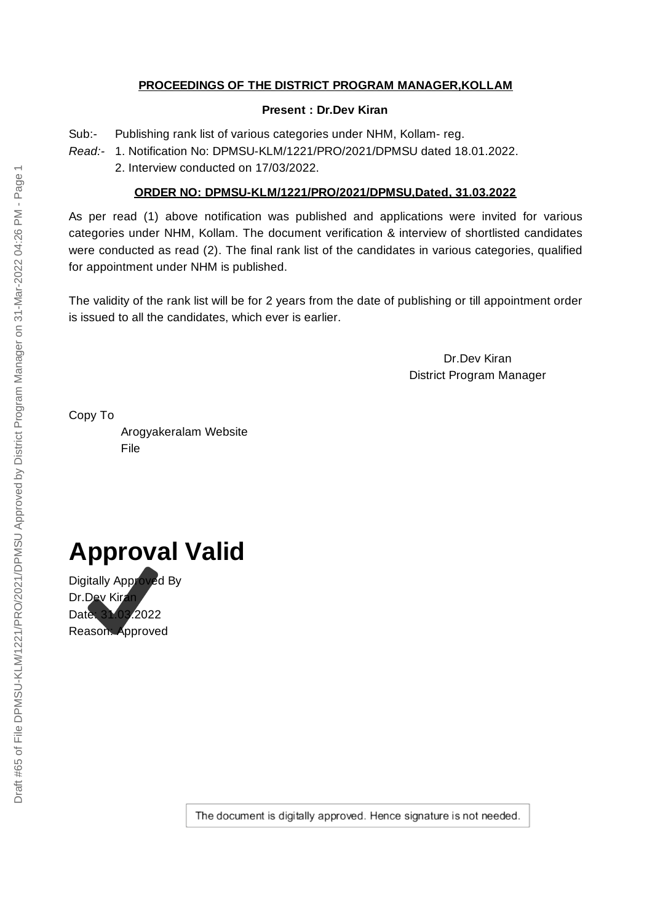### **PROCEEDINGS OF THE DISTRICT PROGRAM MANAGER,KOLLAM**

#### **Present : Dr.Dev Kiran**

Sub:- Publishing rank list of various categories under NHM, Kollam- reg.

*Read:-* 1. Notification No: DPMSU-KLM/1221/PRO/2021/DPMSU dated 18.01.2022.

2. Interview conducted on 17/03/2022.

### **ORDER NO: DPMSU-KLM/1221/PRO/2021/DPMSU,Dated, 31.03.2022**

As per read (1) above notification was published and applications were invited for various categories under NHM, Kollam. The document verification & interview of shortlisted candidates were conducted as read (2). The final rank list of the candidates in various categories, qualified for appointment under NHM is published.

The validity of the rank list will be for 2 years from the date of publishing or till appointment order is issued to all the candidates, which ever is earlier.

> Dr.Dev Kiran District Program Manager

Copy To

Arogyakeralam Website File

# **Approval Valid**

Digitally Approved By Dr.Dev Kiran Date: 31.03.2022 Reason: Approved

The document is digitally approved. Hence signature is not needed.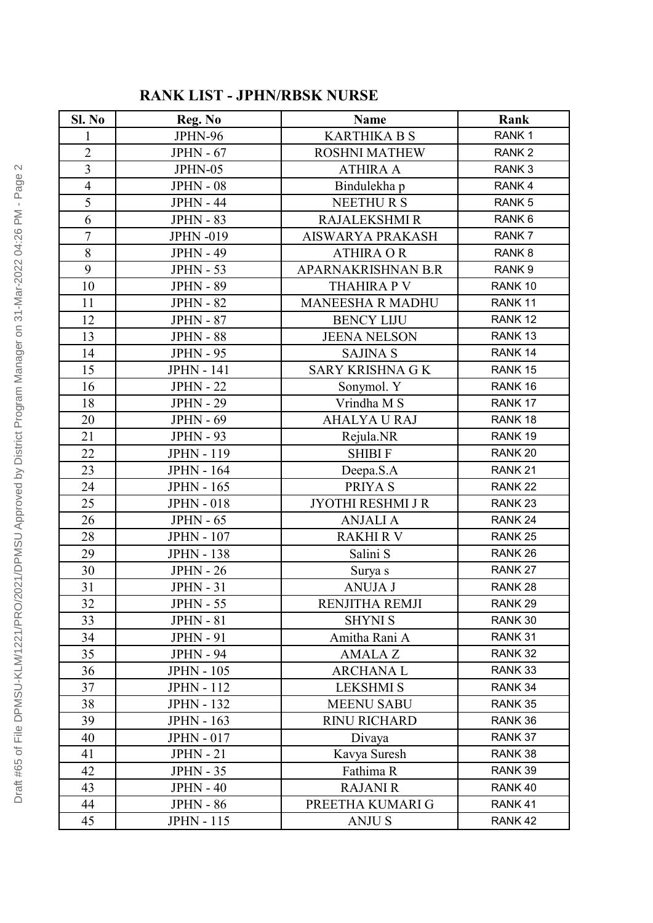### **RANK LIST - JPHN/RBSK NURSE**

| Sl. No         | Reg. No           | Name                     | Rank               |
|----------------|-------------------|--------------------------|--------------------|
|                | JPHN-96           | <b>KARTHIKA B S</b>      | RANK <sub>1</sub>  |
| $\overline{2}$ | $JPHN - 67$       | <b>ROSHNI MATHEW</b>     | RANK <sub>2</sub>  |
| 3              | JPHN-05           | <b>ATHIRA A</b>          | RANK <sub>3</sub>  |
| $\overline{4}$ | $JPHN - 08$       | Bindulekha p             | RANK <sub>4</sub>  |
| 5              | <b>JPHN - 44</b>  | <b>NEETHURS</b>          | RANK <sub>5</sub>  |
| 6              | <b>JPHN - 83</b>  | <b>RAJALEKSHMI R</b>     | RANK <sub>6</sub>  |
| $\overline{7}$ | <b>JPHN-019</b>   | <b>AISWARYA PRAKASH</b>  | RANK 7             |
| 8              | <b>JPHN - 49</b>  | <b>ATHIRA OR</b>         | RANK <sub>8</sub>  |
| 9              | <b>JPHN - 53</b>  | APARNAKRISHNAN B.R       | RANK <sub>9</sub>  |
| 10             | <b>JPHN - 89</b>  | <b>THAHIRA P V</b>       | RANK 10            |
| 11             | <b>JPHN - 82</b>  | <b>MANEESHA R MADHU</b>  | RANK <sub>11</sub> |
| 12             | <b>JPHN - 87</b>  | <b>BENCY LIJU</b>        | RANK 12            |
| 13             | <b>JPHN - 88</b>  | <b>JEENA NELSON</b>      | RANK <sub>13</sub> |
| 14             | <b>JPHN - 95</b>  | <b>SAJINA S</b>          | RANK 14            |
| 15             | <b>JPHN - 141</b> | <b>SARY KRISHNA G K</b>  | RANK 15            |
| 16             | <b>JPHN - 22</b>  | Sonymol. Y               | RANK 16            |
| 18             | <b>JPHN - 29</b>  | Vrindha M S              | RANK 17            |
| 20             | <b>JPHN - 69</b>  | <b>AHALYA U RAJ</b>      | RANK 18            |
| 21             | <b>JPHN - 93</b>  | Rejula.NR                | RANK 19            |
| 22             | <b>JPHN - 119</b> | <b>SHIBIF</b>            | RANK 20            |
| 23             | <b>JPHN - 164</b> | Deepa.S.A                | RANK <sub>21</sub> |
| 24             | <b>JPHN - 165</b> | PRIYA S                  | RANK <sub>22</sub> |
| 25             | <b>JPHN - 018</b> | <b>JYOTHI RESHMI J R</b> | RANK <sub>23</sub> |
| 26             | $JPHN - 65$       | <b>ANJALI A</b>          | RANK <sub>24</sub> |
| 28             | <b>JPHN - 107</b> | <b>RAKHIRV</b>           | RANK <sub>25</sub> |
| 29             | <b>JPHN - 138</b> | Salini S                 | RANK <sub>26</sub> |
| 30             | $JPHN - 26$       | Surya s                  | RANK <sub>27</sub> |
| 31             | $JPHN - 31$       | <b>ANUJA J</b>           | RANK <sub>28</sub> |
| 32             | <b>JPHN - 55</b>  | RENJITHA REMJI           | RANK 29            |
| 33             | $JPHN - 81$       | <b>SHYNI S</b>           | RANK 30            |
| 34             | <b>JPHN - 91</b>  | Amitha Rani A            | RANK 31            |
| 35             | <b>JPHN - 94</b>  | <b>AMALAZ</b>            | RANK 32            |
| 36             | <b>JPHN - 105</b> | ARCHANA L                | RANK 33            |
| 37             | <b>JPHN - 112</b> | <b>LEKSHMI S</b>         | RANK 34            |
| 38             | <b>JPHN - 132</b> | <b>MEENU SABU</b>        | RANK 35            |
| 39             | <b>JPHN - 163</b> | <b>RINU RICHARD</b>      | RANK 36            |
| 40             | <b>JPHN - 017</b> | Divaya                   | RANK 37            |
| 41             | $JPHN - 21$       | Kavya Suresh             | RANK 38            |
| 42             | <b>JPHN - 35</b>  | Fathima R                | RANK 39            |
| 43             | $JPHN - 40$       | <b>RAJANI R</b>          | RANK 40            |
| 44             | <b>JPHN - 86</b>  | PREETHA KUMARI G         | RANK 41            |
| 45             | <b>JPHN - 115</b> | <b>ANJUS</b>             | RANK 42            |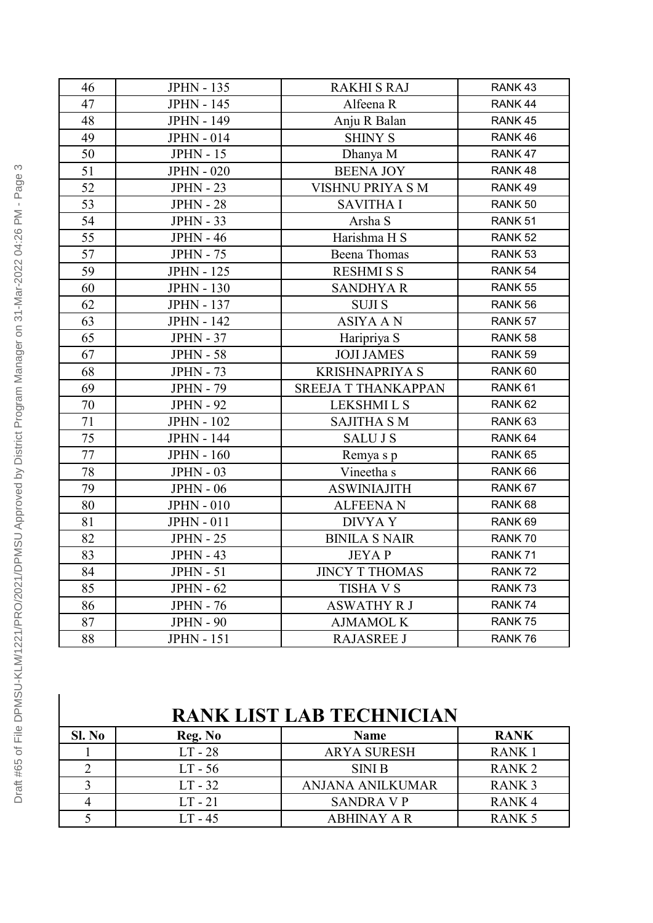| 46 | <b>JPHN - 135</b> | <b>RAKHI S RAJ</b>         | RANK 43            |
|----|-------------------|----------------------------|--------------------|
| 47 | <b>JPHN - 145</b> | Alfeena R                  | RANK 44            |
| 48 | <b>JPHN - 149</b> | Anju R Balan               | RANK 45            |
| 49 | <b>JPHN - 014</b> | <b>SHINY S</b>             | RANK 46            |
| 50 | <b>JPHN - 15</b>  | Dhanya M                   | RANK 47            |
| 51 | <b>JPHN - 020</b> | <b>BEENA JOY</b>           | RANK 48            |
| 52 | <b>JPHN - 23</b>  | VISHNU PRIYA S M           | RANK 49            |
| 53 | <b>JPHN - 28</b>  | <b>SAVITHA I</b>           | RANK 50            |
| 54 | <b>JPHN - 33</b>  | Arsha S                    | RANK 51            |
| 55 | <b>JPHN - 46</b>  | Harishma H S               | RANK <sub>52</sub> |
| 57 | <b>JPHN - 75</b>  | <b>Beena</b> Thomas        | RANK <sub>53</sub> |
| 59 | <b>JPHN - 125</b> | <b>RESHMISS</b>            | RANK 54            |
| 60 | <b>JPHN - 130</b> | <b>SANDHYAR</b>            | RANK 55            |
| 62 | <b>JPHN - 137</b> | <b>SUJIS</b>               | RANK 56            |
| 63 | <b>JPHN - 142</b> | <b>ASIYA AN</b>            | RANK 57            |
| 65 | <b>JPHN - 37</b>  | Haripriya S                | RANK 58            |
| 67 | <b>JPHN - 58</b>  | <b>JOJI JAMES</b>          | RANK 59            |
| 68 | <b>JPHN - 73</b>  | <b>KRISHNAPRIYA S</b>      | RANK 60            |
| 69 | <b>JPHN - 79</b>  | <b>SREEJA T THANKAPPAN</b> | RANK <sub>61</sub> |
| 70 | <b>JPHN - 92</b>  | <b>LEKSHMILS</b>           | RANK <sub>62</sub> |
| 71 | <b>JPHN - 102</b> | <b>SAJITHA S M</b>         | RANK <sub>63</sub> |
| 75 | <b>JPHN - 144</b> | <b>SALUJS</b>              | RANK 64            |
| 77 | <b>JPHN - 160</b> | Remya s p                  | RANK 65            |
| 78 | $JPHN - 03$       | Vineetha s                 | RANK 66            |
| 79 | $JPHN - 06$       | <b>ASWINIAJITH</b>         | RANK 67            |
| 80 | <b>JPHN - 010</b> | <b>ALFEENAN</b>            | RANK 68            |
| 81 | <b>JPHN - 011</b> | <b>DIVYAY</b>              | RANK <sub>69</sub> |
| 82 | <b>JPHN - 25</b>  | <b>BINILA S NAIR</b>       | RANK 70            |
| 83 | <b>JPHN - 43</b>  | <b>JEYAP</b>               | RANK 71            |
| 84 | $JPHN - 51$       | <b>JINCY T THOMAS</b>      | RANK 72            |
| 85 | $JPHN - 62$       | <b>TISHA V S</b>           | RANK73             |
| 86 | <b>JPHN - 76</b>  | <b>ASWATHY R J</b>         | RANK 74            |
| 87 | <b>JPHN - 90</b>  | <b>AJMAMOL K</b>           | RANK 75            |
| 88 | <b>JPHN - 151</b> | <b>RAJASREE J</b>          | RANK 76            |

# **RANK LIST LAB TECHNICIAN**

| Sl. No | Reg. No   | <b>Name</b>        | <b>RANK</b>       |
|--------|-----------|--------------------|-------------------|
|        | $LT - 28$ | <b>ARYA SURESH</b> | <b>RANK</b>       |
|        | LT - 56   | <b>SINI B</b>      | <b>RANK2</b>      |
|        | $LT - 32$ | ANJANA ANILKUMAR   | <b>RANK3</b>      |
|        | $LT - 21$ | SANDRA V P         | RANK <sub>4</sub> |
|        | LT - 45   | ABHINAY A R        | <b>RANK 5</b>     |